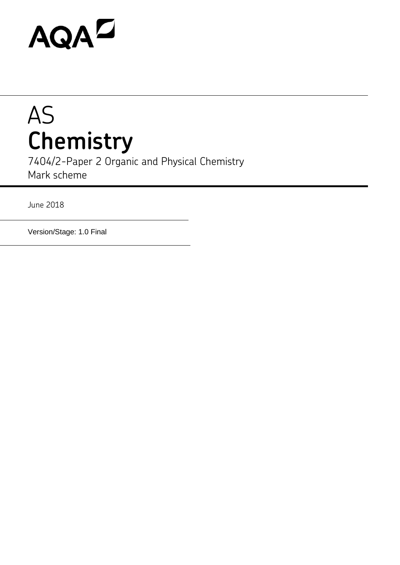# **AQAZ**

## AS **Chemistry**

7404/2-Paper 2 Organic and Physical Chemistry Mark scheme

June 2018

Version/Stage: 1.0 Final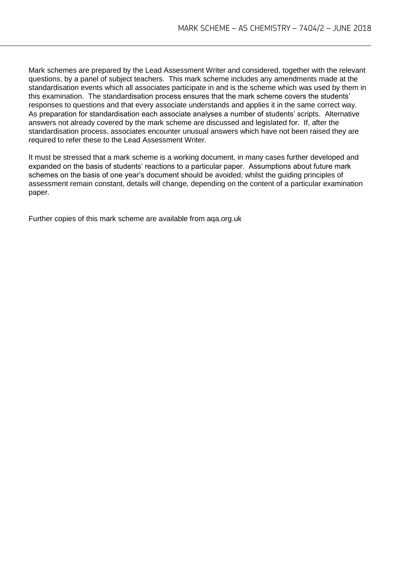Mark schemes are prepared by the Lead Assessment Writer and considered, together with the relevant questions, by a panel of subject teachers. This mark scheme includes any amendments made at the standardisation events which all associates participate in and is the scheme which was used by them in this examination. The standardisation process ensures that the mark scheme covers the students' responses to questions and that every associate understands and applies it in the same correct way. As preparation for standardisation each associate analyses a number of students' scripts. Alternative answers not already covered by the mark scheme are discussed and legislated for. If, after the standardisation process, associates encounter unusual answers which have not been raised they are required to refer these to the Lead Assessment Writer.

It must be stressed that a mark scheme is a working document, in many cases further developed and expanded on the basis of students' reactions to a particular paper. Assumptions about future mark schemes on the basis of one year's document should be avoided; whilst the guiding principles of assessment remain constant, details will change, depending on the content of a particular examination paper.

Further copies of this mark scheme are available from aqa.org.uk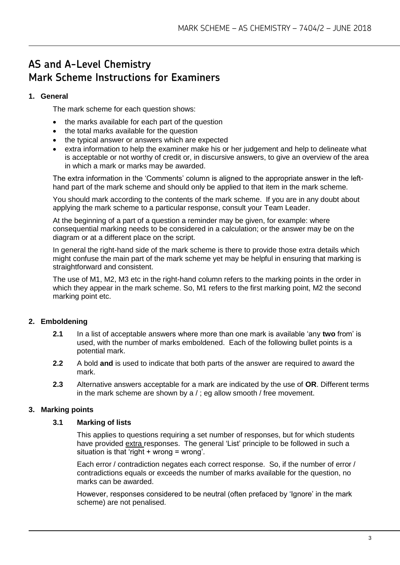### **AS and A-Level Chemistry Mark Scheme Instructions for Examiners**

#### **1. General**

The mark scheme for each question shows:

- the marks available for each part of the question
- the total marks available for the question
- the typical answer or answers which are expected
- extra information to help the examiner make his or her judgement and help to delineate what is acceptable or not worthy of credit or, in discursive answers, to give an overview of the area in which a mark or marks may be awarded.

The extra information in the 'Comments' column is aligned to the appropriate answer in the lefthand part of the mark scheme and should only be applied to that item in the mark scheme.

You should mark according to the contents of the mark scheme. If you are in any doubt about applying the mark scheme to a particular response, consult your Team Leader.

At the beginning of a part of a question a reminder may be given, for example: where consequential marking needs to be considered in a calculation; or the answer may be on the diagram or at a different place on the script.

In general the right-hand side of the mark scheme is there to provide those extra details which might confuse the main part of the mark scheme yet may be helpful in ensuring that marking is straightforward and consistent.

The use of M1, M2, M3 etc in the right-hand column refers to the marking points in the order in which they appear in the mark scheme. So, M1 refers to the first marking point, M2 the second marking point etc.

#### **2. Emboldening**

- **2.1** In a list of acceptable answers where more than one mark is available 'any **two** from' is used, with the number of marks emboldened. Each of the following bullet points is a potential mark.
- **2.2** A bold **and** is used to indicate that both parts of the answer are required to award the mark.
- **2.3** Alternative answers acceptable for a mark are indicated by the use of **OR**. Different terms in the mark scheme are shown by a / ; eg allow smooth / free movement.

#### **3. Marking points**

#### **3.1 Marking of lists**

This applies to questions requiring a set number of responses, but for which students have provided extra responses. The general 'List' principle to be followed in such a situation is that 'right + wrong = wrong'.

Each error / contradiction negates each correct response. So, if the number of error / contradictions equals or exceeds the number of marks available for the question, no marks can be awarded.

However, responses considered to be neutral (often prefaced by 'Ignore' in the mark scheme) are not penalised.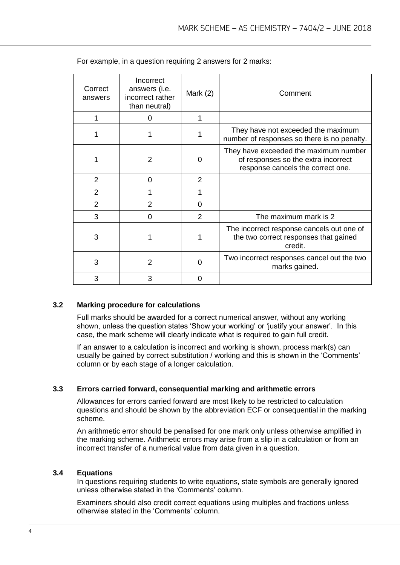| Correct<br>answers | Incorrect<br>answers (i.e.<br>incorrect rather<br>than neutral) | Mark $(2)$     | Comment                                                                                                           |
|--------------------|-----------------------------------------------------------------|----------------|-------------------------------------------------------------------------------------------------------------------|
|                    | 0                                                               | 1              |                                                                                                                   |
|                    |                                                                 |                | They have not exceeded the maximum<br>number of responses so there is no penalty.                                 |
|                    | 2                                                               | 0              | They have exceeded the maximum number<br>of responses so the extra incorrect<br>response cancels the correct one. |
| 2                  | 0                                                               | 2              |                                                                                                                   |
| $\overline{2}$     |                                                                 |                |                                                                                                                   |
| $\overline{2}$     | 2                                                               | $\Omega$       |                                                                                                                   |
| 3                  | 0                                                               | $\overline{2}$ | The maximum mark is 2                                                                                             |
| 3                  |                                                                 |                | The incorrect response cancels out one of<br>the two correct responses that gained<br>credit.                     |
| 3                  | $\overline{2}$                                                  | $\Omega$       | Two incorrect responses cancel out the two<br>marks gained.                                                       |
| 3                  | 3                                                               | 0              |                                                                                                                   |

For example, in a question requiring 2 answers for 2 marks:

#### **3.2 Marking procedure for calculations**

Full marks should be awarded for a correct numerical answer, without any working shown, unless the question states 'Show your working' or 'justify your answer'. In this case, the mark scheme will clearly indicate what is required to gain full credit.

If an answer to a calculation is incorrect and working is shown, process mark(s) can usually be gained by correct substitution / working and this is shown in the 'Comments' column or by each stage of a longer calculation.

#### **3.3 Errors carried forward, consequential marking and arithmetic errors**

Allowances for errors carried forward are most likely to be restricted to calculation questions and should be shown by the abbreviation ECF or consequential in the marking scheme.

An arithmetic error should be penalised for one mark only unless otherwise amplified in the marking scheme. Arithmetic errors may arise from a slip in a calculation or from an incorrect transfer of a numerical value from data given in a question.

#### **3.4 Equations**

In questions requiring students to write equations, state symbols are generally ignored unless otherwise stated in the 'Comments' column.

Examiners should also credit correct equations using multiples and fractions unless otherwise stated in the 'Comments' column.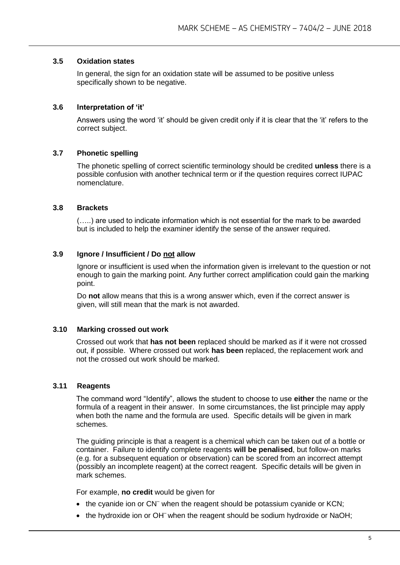#### **3.5 Oxidation states**

In general, the sign for an oxidation state will be assumed to be positive unless specifically shown to be negative.

#### **3.6 Interpretation of 'it'**

Answers using the word 'it' should be given credit only if it is clear that the 'it' refers to the correct subject.

#### **3.7 Phonetic spelling**

The phonetic spelling of correct scientific terminology should be credited **unless** there is a possible confusion with another technical term or if the question requires correct IUPAC nomenclature.

#### **3.8 Brackets**

(…..) are used to indicate information which is not essential for the mark to be awarded but is included to help the examiner identify the sense of the answer required.

#### **3.9 Ignore / Insufficient / Do not allow**

Ignore or insufficient is used when the information given is irrelevant to the question or not enough to gain the marking point. Any further correct amplification could gain the marking point.

Do **not** allow means that this is a wrong answer which, even if the correct answer is given, will still mean that the mark is not awarded.

#### **3.10 Marking crossed out work**

Crossed out work that **has not been** replaced should be marked as if it were not crossed out, if possible. Where crossed out work **has been** replaced, the replacement work and not the crossed out work should be marked.

#### **3.11 Reagents**

The command word "Identify", allows the student to choose to use **either** the name or the formula of a reagent in their answer. In some circumstances, the list principle may apply when both the name and the formula are used. Specific details will be given in mark schemes.

The guiding principle is that a reagent is a chemical which can be taken out of a bottle or container. Failure to identify complete reagents **will be penalised**, but follow-on marks (e.g. for a subsequent equation or observation) can be scored from an incorrect attempt (possibly an incomplete reagent) at the correct reagent. Specific details will be given in mark schemes.

For example, **no credit** would be given for

- the cyanide ion or CN<sup>-</sup> when the reagent should be potassium cyanide or KCN;
- the hydroxide ion or OH<sup>-</sup> when the reagent should be sodium hydroxide or NaOH;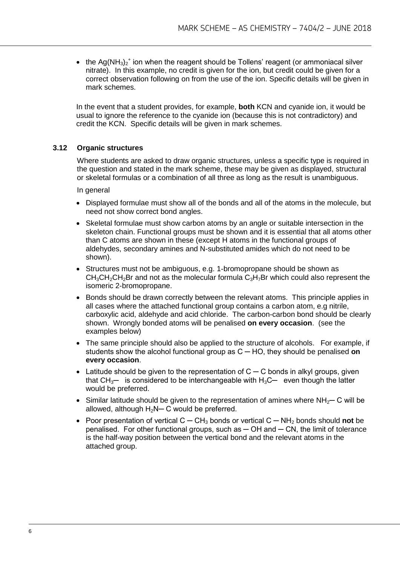• the Ag(NH<sub>3</sub>)<sub>2</sub><sup>+</sup> ion when the reagent should be Tollens' reagent (or ammoniacal silver nitrate). In this example, no credit is given for the ion, but credit could be given for a correct observation following on from the use of the ion. Specific details will be given in mark schemes.

In the event that a student provides, for example, **both** KCN and cyanide ion, it would be usual to ignore the reference to the cyanide ion (because this is not contradictory) and credit the KCN. Specific details will be given in mark schemes.

#### **3.12 Organic structures**

Where students are asked to draw organic structures, unless a specific type is required in the question and stated in the mark scheme, these may be given as displayed, structural or skeletal formulas or a combination of all three as long as the result is unambiguous.

In general

- Displayed formulae must show all of the bonds and all of the atoms in the molecule, but need not show correct bond angles.
- Skeletal formulae must show carbon atoms by an angle or suitable intersection in the skeleton chain. Functional groups must be shown and it is essential that all atoms other than C atoms are shown in these (except H atoms in the functional groups of aldehydes, secondary amines and N-substituted amides which do not need to be shown).
- Structures must not be ambiguous, e.g. 1-bromopropane should be shown as  $CH<sub>3</sub>CH<sub>2</sub>CH<sub>2</sub>Br$  and not as the molecular formula  $C<sub>3</sub>H<sub>7</sub>Br$  which could also represent the isomeric 2-bromopropane.
- Bonds should be drawn correctly between the relevant atoms. This principle applies in all cases where the attached functional group contains a carbon atom, e.g nitrile, carboxylic acid, aldehyde and acid chloride. The carbon-carbon bond should be clearly shown. Wrongly bonded atoms will be penalised **on every occasion**. (see the examples below)
- The same principle should also be applied to the structure of alcohols. For example, if students show the alcohol functional group as C ─ HO, they should be penalised **on every occasion**.
- Latitude should be given to the representation of  $C C$  bonds in alkyl groups, given that  $CH_{3}$ — is considered to be interchangeable with  $H_3C$ — even though the latter would be preferred.
- Similar latitude should be given to the representation of amines where NH<sub>2</sub>— C will be allowed, although  $H_2N-C$  would be preferred.
- Poor presentation of vertical C ─ CH<sup>3</sup> bonds or vertical C ─ NH<sup>2</sup> bonds should **not** be penalised. For other functional groups, such as  $-$  OH and  $-$  CN, the limit of tolerance is the half-way position between the vertical bond and the relevant atoms in the attached group.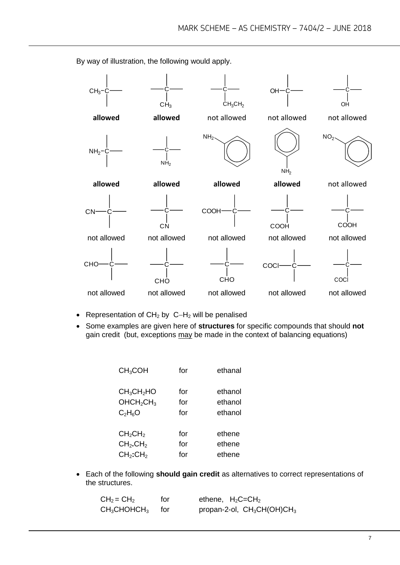$CH<sub>3</sub>$  $CH<sub>3</sub>$ C  $CH<sub>3</sub>CH<sub>2</sub>$  $OH$ OH **allowed allowed** not allowed not allowed not allowed  $NH<sub>2</sub>$  $NH<sub>2</sub>$  $NH<sub>2</sub>$ NH<sub>2</sub>  $NO<sub>2</sub>$ **allowed allowed allowed allowed** not allowed  $C<sub>N</sub>$ **CN COOH COOH** C COOH not allowed not allowed not allowed not allowed not allowed **CHO CHO** C **CHO COCI** COCl not allowed not allowed not allowed not allowed not allowed

By way of illustration, the following would apply.

- Representation of  $CH<sub>2</sub>$  by  $C-H<sub>2</sub>$  will be penalised
- Some examples are given here of **structures** for specific compounds that should **not** gain credit (but, exceptions may be made in the context of balancing equations)

| CH <sub>3</sub> COH                | for | ethanal |
|------------------------------------|-----|---------|
| CH <sub>3</sub> CH <sub>2</sub> HO | for | ethanol |
| OHCH <sub>2</sub> CH <sub>3</sub>  | for | ethanol |
| $C_2H_6O$                          | for | ethanol |
| CH <sub>2</sub> CH <sub>2</sub>    | for | ethene  |
| CH <sub>2</sub> .CH <sub>2</sub>   | for | ethene  |
| CH <sub>2</sub> :CH <sub>2</sub>   | for | ethene  |

 Each of the following **should gain credit** as alternatives to correct representations of the structures.

| $CH2 = CH2$    | for   | ethene, $H_2C = CH_2$         |
|----------------|-------|-------------------------------|
| $CH_3CHOHCH_3$ | tor – | propan-2-ol, $CH_3CH(OH)CH_3$ |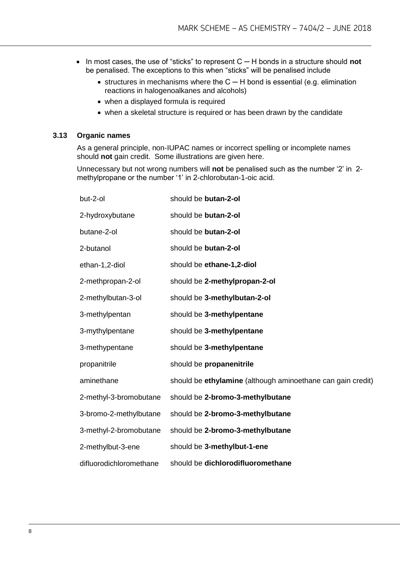- In most cases, the use of "sticks" to represent C ─ H bonds in a structure should **not** be penalised. The exceptions to this when "sticks" will be penalised include
	- structures in mechanisms where the C H bond is essential (e.g. elimination reactions in halogenoalkanes and alcohols)
	- when a displayed formula is required
	- when a skeletal structure is required or has been drawn by the candidate

#### **3.13 Organic names**

As a general principle, non-IUPAC names or incorrect spelling or incomplete names should **not** gain credit. Some illustrations are given here.

Unnecessary but not wrong numbers will **not** be penalised such as the number '2' in 2 methylpropane or the number '1' in 2-chlorobutan-1-oic acid.

| but-2-ol                | should be butan-2-ol                                        |
|-------------------------|-------------------------------------------------------------|
| 2-hydroxybutane         | should be butan-2-ol                                        |
| butane-2-ol             | should be butan-2-ol                                        |
| 2-butanol               | should be butan-2-ol                                        |
| ethan-1,2-diol          | should be ethane-1,2-diol                                   |
| 2-methpropan-2-ol       | should be 2-methylpropan-2-ol                               |
| 2-methylbutan-3-ol      | should be 3-methylbutan-2-ol                                |
| 3-methylpentan          | should be 3-methylpentane                                   |
| 3-mythylpentane         | should be 3-methylpentane                                   |
| 3-methypentane          | should be 3-methylpentane                                   |
| propanitrile            | should be propanenitrile                                    |
| aminethane              | should be ethylamine (although aminoethane can gain credit) |
| 2-methyl-3-bromobutane  | should be 2-bromo-3-methylbutane                            |
| 3-bromo-2-methylbutane  | should be 2-bromo-3-methylbutane                            |
| 3-methyl-2-bromobutane  | should be 2-bromo-3-methylbutane                            |
| 2-methylbut-3-ene       | should be 3-methylbut-1-ene                                 |
| difluorodichloromethane | should be dichlorodifluoromethane                           |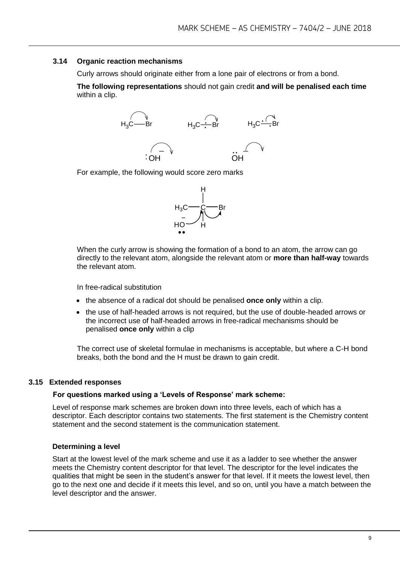#### **3.14 Organic reaction mechanisms**

Curly arrows should originate either from a lone pair of electrons or from a bond.

**The following representations** should not gain credit **and will be penalised each time**  within a clip.



For example, the following would score zero marks



When the curly arrow is showing the formation of a bond to an atom, the arrow can go directly to the relevant atom, alongside the relevant atom or **more than half-way** towards the relevant atom.

In free-radical substitution

- the absence of a radical dot should be penalised **once only** within a clip.
- the use of half-headed arrows is not required, but the use of double-headed arrows or the incorrect use of half-headed arrows in free-radical mechanisms should be penalised **once only** within a clip

The correct use of skeletal formulae in mechanisms is acceptable, but where a C-H bond breaks, both the bond and the H must be drawn to gain credit.

#### **3.15 Extended responses**

#### **For questions marked using a 'Levels of Response' mark scheme:**

Level of response mark schemes are broken down into three levels, each of which has a descriptor. Each descriptor contains two statements. The first statement is the Chemistry content statement and the second statement is the communication statement.

#### **Determining a level**

Start at the lowest level of the mark scheme and use it as a ladder to see whether the answer meets the Chemistry content descriptor for that level. The descriptor for the level indicates the qualities that might be seen in the student's answer for that level. If it meets the lowest level, then go to the next one and decide if it meets this level, and so on, until you have a match between the level descriptor and the answer.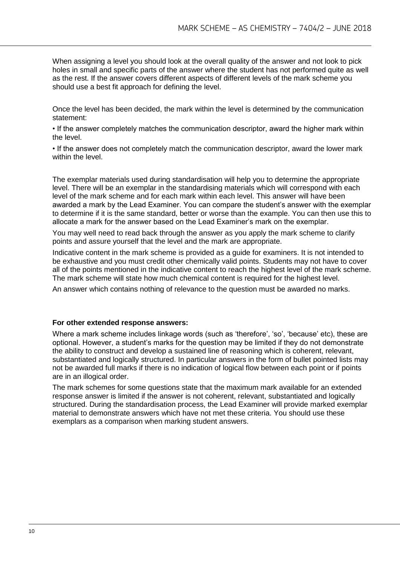When assigning a level you should look at the overall quality of the answer and not look to pick holes in small and specific parts of the answer where the student has not performed quite as well as the rest. If the answer covers different aspects of different levels of the mark scheme you should use a best fit approach for defining the level.

Once the level has been decided, the mark within the level is determined by the communication statement:

• If the answer completely matches the communication descriptor, award the higher mark within the level.

• If the answer does not completely match the communication descriptor, award the lower mark within the level.

The exemplar materials used during standardisation will help you to determine the appropriate level. There will be an exemplar in the standardising materials which will correspond with each level of the mark scheme and for each mark within each level. This answer will have been awarded a mark by the Lead Examiner. You can compare the student's answer with the exemplar to determine if it is the same standard, better or worse than the example. You can then use this to allocate a mark for the answer based on the Lead Examiner's mark on the exemplar.

You may well need to read back through the answer as you apply the mark scheme to clarify points and assure yourself that the level and the mark are appropriate.

Indicative content in the mark scheme is provided as a guide for examiners. It is not intended to be exhaustive and you must credit other chemically valid points. Students may not have to cover all of the points mentioned in the indicative content to reach the highest level of the mark scheme. The mark scheme will state how much chemical content is required for the highest level.

An answer which contains nothing of relevance to the question must be awarded no marks.

#### **For other extended response answers:**

Where a mark scheme includes linkage words (such as 'therefore', 'so', 'because' etc), these are optional. However, a student's marks for the question may be limited if they do not demonstrate the ability to construct and develop a sustained line of reasoning which is coherent, relevant, substantiated and logically structured. In particular answers in the form of bullet pointed lists may not be awarded full marks if there is no indication of logical flow between each point or if points are in an illogical order.

The mark schemes for some questions state that the maximum mark available for an extended response answer is limited if the answer is not coherent, relevant, substantiated and logically structured. During the standardisation process, the Lead Examiner will provide marked exemplar material to demonstrate answers which have not met these criteria. You should use these exemplars as a comparison when marking student answers.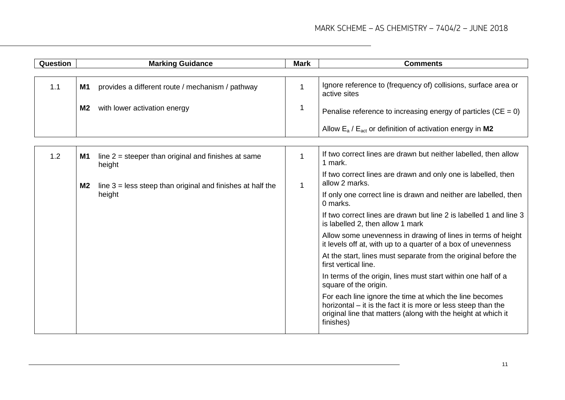| Question |                                                                              | <b>Marking Guidance</b>                                         | <b>Mark</b>                                                                     | <b>Comments</b>                                                                                                                                                                                        |
|----------|------------------------------------------------------------------------------|-----------------------------------------------------------------|---------------------------------------------------------------------------------|--------------------------------------------------------------------------------------------------------------------------------------------------------------------------------------------------------|
|          |                                                                              |                                                                 |                                                                                 |                                                                                                                                                                                                        |
| 1.1      | <b>M1</b>                                                                    | provides a different route / mechanism / pathway                | 1                                                                               | Ignore reference to (frequency of) collisions, surface area or<br>active sites                                                                                                                         |
|          | M2                                                                           | with lower activation energy                                    | 1                                                                               | Penalise reference to increasing energy of particles ( $CE = 0$ )                                                                                                                                      |
|          |                                                                              |                                                                 |                                                                                 | Allow $E_a$ / $E_{act}$ or definition of activation energy in M2                                                                                                                                       |
|          |                                                                              |                                                                 |                                                                                 |                                                                                                                                                                                                        |
| 1.2      | <b>M1</b>                                                                    | line $2$ = steeper than original and finishes at same<br>height | $\mathbf{1}$                                                                    | If two correct lines are drawn but neither labelled, then allow<br>1 mark.                                                                                                                             |
|          | line $3 =$ less steep than original and finishes at half the<br>M2<br>height | $\mathbf{1}$                                                    | If two correct lines are drawn and only one is labelled, then<br>allow 2 marks. |                                                                                                                                                                                                        |
|          |                                                                              |                                                                 | If only one correct line is drawn and neither are labelled, then<br>0 marks.    |                                                                                                                                                                                                        |
|          |                                                                              |                                                                 |                                                                                 | If two correct lines are drawn but line 2 is labelled 1 and line 3<br>is labelled 2, then allow 1 mark                                                                                                 |
|          |                                                                              |                                                                 |                                                                                 | Allow some unevenness in drawing of lines in terms of height<br>it levels off at, with up to a quarter of a box of unevenness                                                                          |
|          |                                                                              |                                                                 |                                                                                 | At the start, lines must separate from the original before the<br>first vertical line.                                                                                                                 |
|          |                                                                              |                                                                 |                                                                                 | In terms of the origin, lines must start within one half of a<br>square of the origin.                                                                                                                 |
|          |                                                                              |                                                                 |                                                                                 | For each line ignore the time at which the line becomes<br>horizontal – it is the fact it is more or less steep than the<br>original line that matters (along with the height at which it<br>finishes) |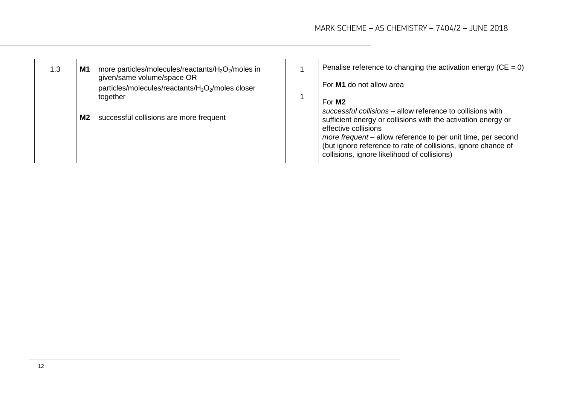| 1.3 | M1        | more particles/molecules/reactants/ $H_2O_2$ /moles in<br>given/same volume/space OR<br>particles/molecules/reactants/H <sub>2</sub> O <sub>2</sub> /moles closer | Penalise reference to changing the activation energy (CE = 0) $\vert$<br>For M1 do not allow area                                                                                                                                                                                                                                                          |
|-----|-----------|-------------------------------------------------------------------------------------------------------------------------------------------------------------------|------------------------------------------------------------------------------------------------------------------------------------------------------------------------------------------------------------------------------------------------------------------------------------------------------------------------------------------------------------|
|     | <b>M2</b> | together<br>successful collisions are more frequent                                                                                                               | For M <sub>2</sub><br>successful collisions – allow reference to collisions with<br>sufficient energy or collisions with the activation energy or<br>effective collisions<br>more frequent – allow reference to per unit time, per second<br>(but ignore reference to rate of collisions, ignore chance of<br>collisions, ignore likelihood of collisions) |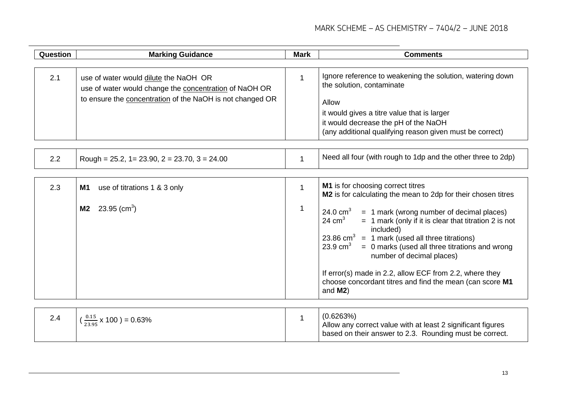| Question | <b>Marking Guidance</b>                                                                         | <b>Mark</b>  | <b>Comments</b>                                                                                                                                                                                                                                                                                                                                                                                                                          |
|----------|-------------------------------------------------------------------------------------------------|--------------|------------------------------------------------------------------------------------------------------------------------------------------------------------------------------------------------------------------------------------------------------------------------------------------------------------------------------------------------------------------------------------------------------------------------------------------|
| 2.1      | use of water would dilute the NaOH OR<br>use of water would change the concentration of NaOH OR | $\mathbf{1}$ | Ignore reference to weakening the solution, watering down<br>the solution, contaminate                                                                                                                                                                                                                                                                                                                                                   |
|          | to ensure the concentration of the NaOH is not changed OR                                       |              | Allow<br>it would gives a titre value that is larger<br>it would decrease the pH of the NaOH<br>(any additional qualifying reason given must be correct)                                                                                                                                                                                                                                                                                 |
| 2.2      | Rough = $25.2$ , 1 = $23.90$ , 2 = $23.70$ , 3 = $24.00$                                        | $\mathbf 1$  | Need all four (with rough to 1dp and the other three to 2dp)                                                                                                                                                                                                                                                                                                                                                                             |
| 2.3      | use of titrations 1 & 3 only<br>M1                                                              | $\mathbf{1}$ | <b>M1</b> is for choosing correct titres<br>M2 is for calculating the mean to 2dp for their chosen titres                                                                                                                                                                                                                                                                                                                                |
|          | 23.95 (cm <sup>3</sup> )<br>M <sub>2</sub>                                                      | $\mathbf 1$  | 24.0 $cm3$<br>= 1 mark (wrong number of decimal places)<br>24 $cm3$<br>$= 1$ mark (only if it is clear that titration 2 is not<br>included)<br>23.86 cm <sup>3</sup> = 1 mark (used all three titrations)<br>$23.9 \text{ cm}^3$<br>$= 0$ marks (used all three titrations and wrong<br>number of decimal places)<br>If error(s) made in 2.2, allow ECF from 2.2, where they<br>choose concordant titres and find the mean (can score M1 |
|          |                                                                                                 |              | and $M2$ )                                                                                                                                                                                                                                                                                                                                                                                                                               |
| 2.4      | $\frac{0.15}{23.95}$ x 100 ) = 0.63%                                                            | $\mathbf{1}$ | (0.6263%)<br>Allow any correct value with at least 2 significant figures<br>based on their answer to 2.3. Rounding must be correct.                                                                                                                                                                                                                                                                                                      |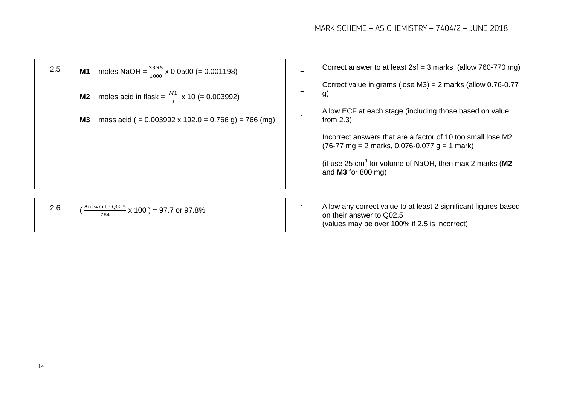(values may be over 100% if 2.5 is incorrect)

| 2.5 | <b>M1</b> moles NaOH = $\frac{23.95}{1000}$ x 0.0500 (= 0.001198) | Correct answer to at least $2sf = 3$ marks (allow 760-770 mg)                                                                                 |
|-----|-------------------------------------------------------------------|-----------------------------------------------------------------------------------------------------------------------------------------------|
|     | <b>M2</b> moles acid in flask = $\frac{M1}{3}$ x 10 (= 0.003992)  | Correct value in grams (lose $M3$ ) = 2 marks (allow 0.76-0.77<br>g)                                                                          |
|     | mass acid ( = $0.003992 \times 192.0 = 0.766$ g) = 766 (mg)<br>M3 | Allow ECF at each stage (including those based on value<br>from $2.3$ )                                                                       |
|     |                                                                   | Incorrect answers that are a factor of 10 too small lose M2<br>$(76-77 \text{ mg} = 2 \text{ marks}, 0.076-0.077 \text{ g} = 1 \text{ mark})$ |
|     |                                                                   | (if use 25 $cm3$ for volume of NaOH, then max 2 marks (M2<br>and $M3$ for 800 mg)                                                             |
|     |                                                                   |                                                                                                                                               |
| 2.6 | $\frac{\text{Answer to Q02.5}}{20}$ x 100 ) = 97.7 or 97.8%       | Allow any correct value to at least 2 significant figures based<br>on their answer to Q02.5                                                   |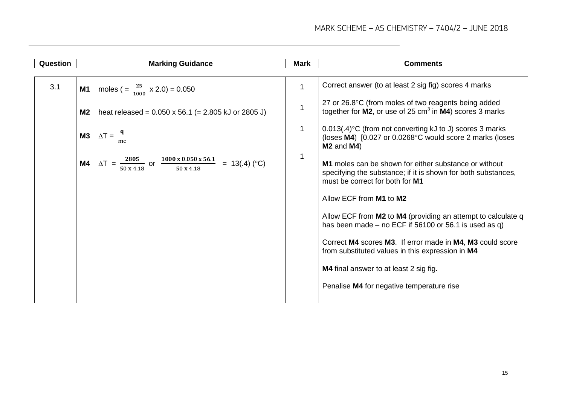| Question | <b>Marking Guidance</b>                                                                                                     | <b>Mark</b>  | <b>Comments</b>                                                                                                                                           |
|----------|-----------------------------------------------------------------------------------------------------------------------------|--------------|-----------------------------------------------------------------------------------------------------------------------------------------------------------|
|          |                                                                                                                             |              |                                                                                                                                                           |
| 3.1      | <b>M1</b> moles $(=\frac{25}{1000} \times 2.0) = 0.050$                                                                     | 1            | Correct answer (to at least 2 sig fig) scores 4 marks                                                                                                     |
|          | heat released = $0.050 \times 56.1$ (= 2.805 kJ or 2805 J)<br>M2                                                            | $\mathbf{1}$ | 27 or 26.8°C (from moles of two reagents being added<br>together for $M2$ , or use of 25 cm <sup>3</sup> in $M4$ ) scores 3 marks                         |
|          | <b>M3</b> $\Delta T = \frac{q}{r}$                                                                                          | $\mathbf{1}$ | $0.013(.4)$ °C (from not converting kJ to J) scores 3 marks<br>(loses M4) [0.027 or 0.0268°C would score 2 marks (loses<br>$M2$ and $M4$ )                |
|          | <b>M4</b> $\Delta T = \frac{2805}{50 \times 4.18}$ or $\frac{1000 \times 0.050 \times 56.1}{50 \times 4.18} = 13(0.4)$ (°C) | $\mathbf{1}$ | M1 moles can be shown for either substance or without<br>specifying the substance; if it is shown for both substances,<br>must be correct for both for M1 |
|          |                                                                                                                             |              | Allow ECF from M1 to M2                                                                                                                                   |
|          |                                                                                                                             |              | Allow ECF from M2 to M4 (providing an attempt to calculate q<br>has been made – no ECF if $56100$ or 56.1 is used as q)                                   |
|          |                                                                                                                             |              | Correct M4 scores M3. If error made in M4, M3 could score<br>from substituted values in this expression in M4                                             |
|          |                                                                                                                             |              | <b>M4</b> final answer to at least 2 sig fig.                                                                                                             |
|          |                                                                                                                             |              | Penalise M4 for negative temperature rise                                                                                                                 |
|          |                                                                                                                             |              |                                                                                                                                                           |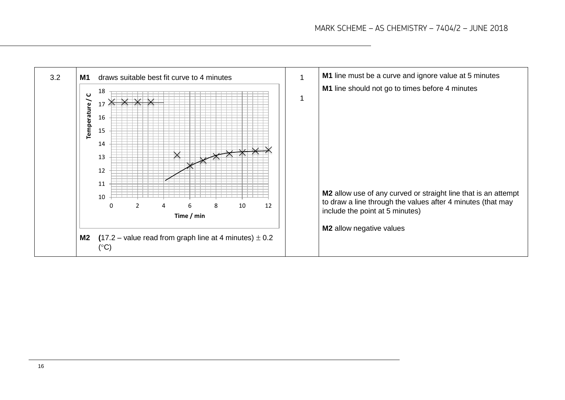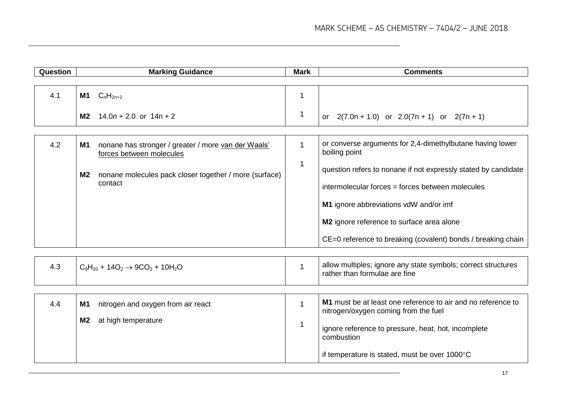| Question | <b>Marking Guidance</b>                                                               | <b>Mark</b>  | <b>Comments</b>                                                                                      |
|----------|---------------------------------------------------------------------------------------|--------------|------------------------------------------------------------------------------------------------------|
|          |                                                                                       |              |                                                                                                      |
| 4.1      | <b>M1</b> $C_nH_{2n+2}$                                                               | 1            |                                                                                                      |
|          | $14.0n + 2.0$ or $14n + 2$<br>M2                                                      | $\mathbf 1$  | $2(7.0n + 1.0)$ or $2.0(7n + 1)$ or $2(7n + 1)$<br><b>or</b>                                         |
|          |                                                                                       |              |                                                                                                      |
| 4.2      | nonane has stronger / greater / more van der Waals'<br>M1<br>forces between molecules | $\mathbf{1}$ | or converse arguments for 2,4-dimethylbutane having lower<br>boiling point                           |
|          | nonane molecules pack closer together / more (surface)<br><b>M2</b>                   | $\mathbf 1$  | question refers to nonane if not expressly stated by candidate                                       |
|          | contact                                                                               |              | intermolecular forces = forces between molecules                                                     |
|          |                                                                                       |              | M1 ignore abbreviations vdW and/or imf                                                               |
|          |                                                                                       |              | M2 ignore reference to surface area alone                                                            |
|          |                                                                                       |              | CE=0 reference to breaking (covalent) bonds / breaking chain                                         |
|          |                                                                                       |              |                                                                                                      |
| 4.3      | $C_9H_{20}$ + 14O <sub>2</sub> $\rightarrow$ 9CO <sub>2</sub> + 10H <sub>2</sub> O    | $\mathbf{1}$ | allow multiples; ignore any state symbols; correct structures<br>rather than formulae are fine       |
|          |                                                                                       |              |                                                                                                      |
| 4.4      | nitrogen and oxygen from air react<br>M1                                              | $\mathbf{1}$ | M1 must be at least one reference to air and no reference to<br>nitrogen/oxygen coming from the fuel |
|          | at high temperature<br>M <sub>2</sub>                                                 | 1            | ignore reference to pressure, heat, hot, incomplete<br>combustion                                    |
|          |                                                                                       |              | if temperature is stated, must be over 1000°C                                                        |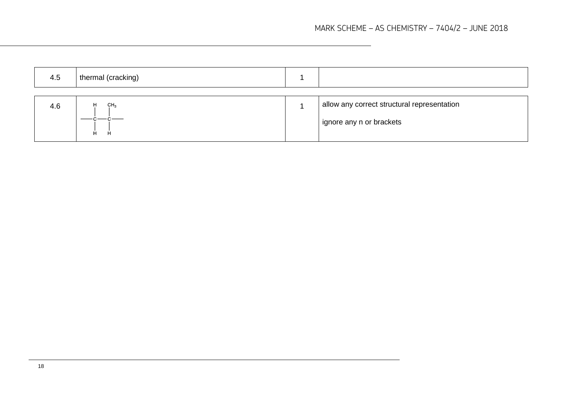| 4.5 | thermal (cracking)        |                                                                         |
|-----|---------------------------|-------------------------------------------------------------------------|
| 4.6 | H<br>CH <sub>3</sub><br>H | allow any correct structural representation<br>ignore any n or brackets |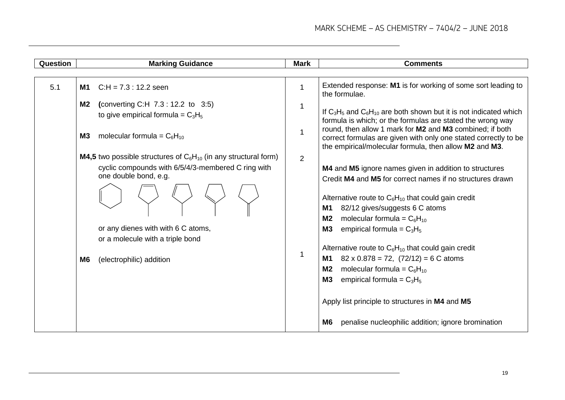| Question | <b>Marking Guidance</b>                                                                                                                                                                                                                                                | <b>Mark</b> | <b>Comments</b>                                                                                                                                                                                                                                                                                                                                                                                                                                                                                                                                                                           |
|----------|------------------------------------------------------------------------------------------------------------------------------------------------------------------------------------------------------------------------------------------------------------------------|-------------|-------------------------------------------------------------------------------------------------------------------------------------------------------------------------------------------------------------------------------------------------------------------------------------------------------------------------------------------------------------------------------------------------------------------------------------------------------------------------------------------------------------------------------------------------------------------------------------------|
|          |                                                                                                                                                                                                                                                                        |             |                                                                                                                                                                                                                                                                                                                                                                                                                                                                                                                                                                                           |
| 5.1      | $C.H = 7.3 : 12.2$ seen<br>M1                                                                                                                                                                                                                                          | 1           | Extended response: M1 is for working of some sort leading to<br>the formulae.                                                                                                                                                                                                                                                                                                                                                                                                                                                                                                             |
|          | (converting C:H $7.3 : 12.2$ to $3.5$ )<br>M2<br>to give empirical formula = $C_3H_5$<br>molecular formula = $C_6H_{10}$<br><b>M3</b>                                                                                                                                  | 1<br>1      | If $C_3H_5$ and $C_6H_{10}$ are both shown but it is not indicated which<br>formula is which; or the formulas are stated the wrong way<br>round, then allow 1 mark for M2 and M3 combined; if both                                                                                                                                                                                                                                                                                                                                                                                        |
|          |                                                                                                                                                                                                                                                                        |             | correct formulas are given with only one stated correctly to be<br>the empirical/molecular formula, then allow M2 and M3.                                                                                                                                                                                                                                                                                                                                                                                                                                                                 |
|          | <b>M4,5</b> two possible structures of $C_6H_{10}$ (in any structural form)<br>cyclic compounds with 6/5/4/3-membered C ring with<br>one double bond, e.g.<br>or any dienes with with 6 C atoms,<br>or a molecule with a triple bond<br>(electrophilic) addition<br>M6 | 2<br>1      | M4 and M5 ignore names given in addition to structures<br>Credit M4 and M5 for correct names if no structures drawn<br>Alternative route to $C_6H_{10}$ that could gain credit<br>82/12 gives/suggests 6 C atoms<br>M1<br>molecular formula = $C_6H_{10}$<br>M <sub>2</sub><br>M3<br>empirical formula = $C_3H_5$<br>Alternative route to $C_6H_{10}$ that could gain credit<br>$82 \times 0.878 = 72$ , $(72/12) = 6$ C atoms<br>M1<br>M <sub>2</sub><br>molecular formula = $C_6H_{10}$<br><b>M3</b><br>empirical formula = $C_3H_5$<br>Apply list principle to structures in M4 and M5 |
|          |                                                                                                                                                                                                                                                                        |             | penalise nucleophilic addition; ignore bromination<br>M6                                                                                                                                                                                                                                                                                                                                                                                                                                                                                                                                  |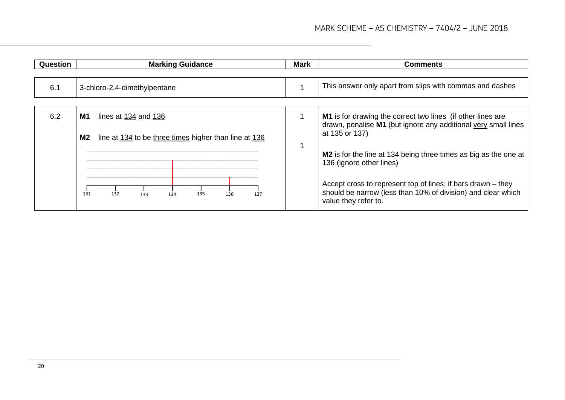| <b>Question</b> | <b>Marking Guidance</b>                                     |  | <b>Comments</b>                                                                                                                                      |
|-----------------|-------------------------------------------------------------|--|------------------------------------------------------------------------------------------------------------------------------------------------------|
|                 |                                                             |  |                                                                                                                                                      |
| 6.1             | 3-chloro-2,4-dimethylpentane                                |  | This answer only apart from slips with commas and dashes                                                                                             |
|                 |                                                             |  |                                                                                                                                                      |
| 6.2             | M1<br>lines at 134 and 136                                  |  | <b>M1</b> is for drawing the correct two lines (if other lines are<br>drawn, penalise M1 (but ignore any additional very small lines                 |
|                 | line at 134 to be three times higher than line at 136<br>M2 |  | at 135 or 137)                                                                                                                                       |
|                 |                                                             |  | M2 is for the line at 134 being three times as big as the one at<br>136 (ignore other lines)                                                         |
|                 | 132<br>135<br>131<br>136<br>137<br>133<br>134               |  | Accept cross to represent top of lines; if bars drawn – they<br>should be narrow (less than 10% of division) and clear which<br>value they refer to. |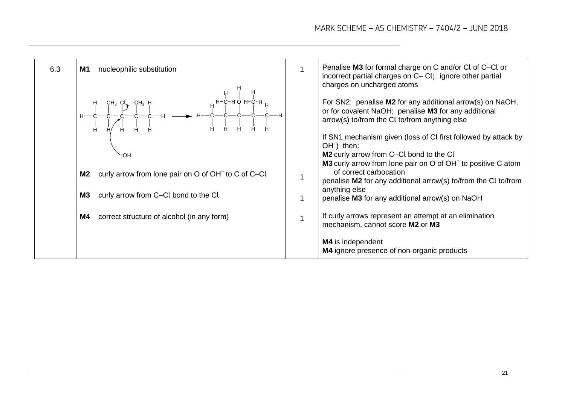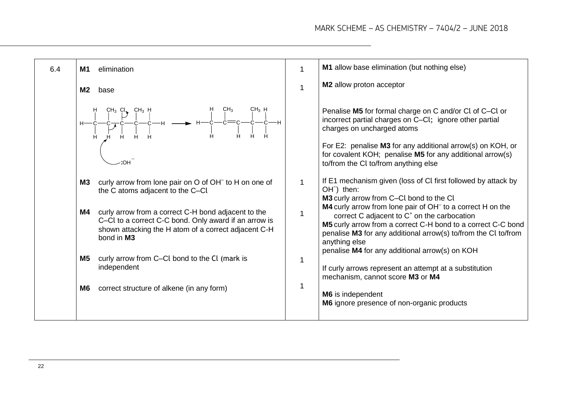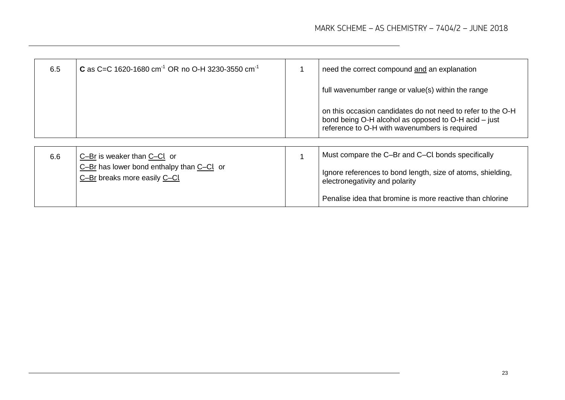| 6.5 | <b>C</b> as C=C 1620-1680 cm <sup>-1</sup> OR no O-H 3230-3550 cm <sup>-1</sup> |                         | need the correct compound and an explanation                                                                                                                         |
|-----|---------------------------------------------------------------------------------|-------------------------|----------------------------------------------------------------------------------------------------------------------------------------------------------------------|
|     |                                                                                 |                         | full wavenumber range or value(s) within the range                                                                                                                   |
|     |                                                                                 |                         | on this occasion candidates do not need to refer to the O-H<br>bond being O-H alcohol as opposed to O-H acid - just<br>reference to O-H with wavenumbers is required |
|     |                                                                                 |                         |                                                                                                                                                                      |
| 6.6 | C-Br is weaker than C-Cl or                                                     | $\overline{\mathbf{A}}$ | Must compare the C-Br and C-CI bonds specifically                                                                                                                    |
|     | $C-Br$ has lower bond enthalpy than $C-Cl$ or<br>C-Br breaks more easily C-Cl   |                         | Ignore references to bond length, size of atoms, shielding,<br>electronegativity and polarity                                                                        |
|     |                                                                                 |                         | Penalise idea that bromine is more reactive than chlorine                                                                                                            |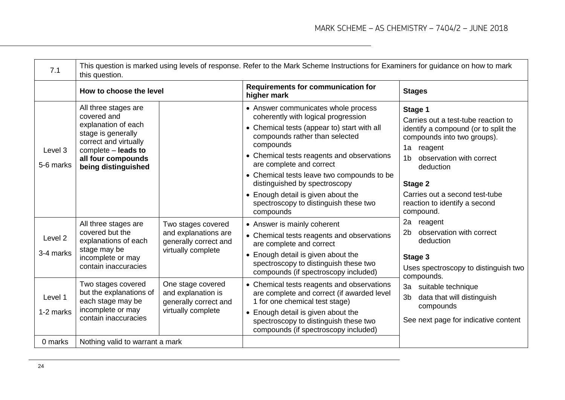| 7.1                  | This question is marked using levels of response. Refer to the Mark Scheme Instructions for Examiners for guidance on how to mark<br>this question.                           |                                                                                           |                                                                                                                                                                                                                                                                                                                                                                                                                               |                                                                                                                                                                                                                                                                                         |  |
|----------------------|-------------------------------------------------------------------------------------------------------------------------------------------------------------------------------|-------------------------------------------------------------------------------------------|-------------------------------------------------------------------------------------------------------------------------------------------------------------------------------------------------------------------------------------------------------------------------------------------------------------------------------------------------------------------------------------------------------------------------------|-----------------------------------------------------------------------------------------------------------------------------------------------------------------------------------------------------------------------------------------------------------------------------------------|--|
|                      | How to choose the level                                                                                                                                                       |                                                                                           | Requirements for communication for<br>higher mark                                                                                                                                                                                                                                                                                                                                                                             | <b>Stages</b>                                                                                                                                                                                                                                                                           |  |
| Level 3<br>5-6 marks | All three stages are<br>covered and<br>explanation of each<br>stage is generally<br>correct and virtually<br>complete - leads to<br>all four compounds<br>being distinguished |                                                                                           | • Answer communicates whole process<br>coherently with logical progression<br>• Chemical tests (appear to) start with all<br>compounds rather than selected<br>compounds<br>• Chemical tests reagents and observations<br>are complete and correct<br>• Chemical tests leave two compounds to be<br>distinguished by spectroscopy<br>• Enough detail is given about the<br>spectroscopy to distinguish these two<br>compounds | Stage 1<br>Carries out a test-tube reaction to<br>identify a compound (or to split the<br>compounds into two groups).<br>1a<br>reagent<br>observation with correct<br>1b<br>deduction<br><b>Stage 2</b><br>Carries out a second test-tube<br>reaction to identify a second<br>compound. |  |
| Level 2<br>3-4 marks | All three stages are<br>covered but the<br>explanations of each<br>stage may be<br>incomplete or may<br>contain inaccuracies                                                  | Two stages covered<br>and explanations are<br>generally correct and<br>virtually complete | • Answer is mainly coherent<br>• Chemical tests reagents and observations<br>are complete and correct<br>• Enough detail is given about the<br>spectroscopy to distinguish these two<br>compounds (if spectroscopy included)                                                                                                                                                                                                  | 2a<br>reagent<br>observation with correct<br>2 <sub>b</sub><br>deduction<br>Stage 3<br>Uses spectroscopy to distinguish two<br>compounds.                                                                                                                                               |  |
| Level 1<br>1-2 marks | Two stages covered<br>but the explanations of<br>each stage may be<br>incomplete or may<br>contain inaccuracies                                                               | One stage covered<br>and explanation is<br>generally correct and<br>virtually complete    | • Chemical tests reagents and observations<br>are complete and correct (if awarded level<br>1 for one chemical test stage)<br>• Enough detail is given about the<br>spectroscopy to distinguish these two<br>compounds (if spectroscopy included)                                                                                                                                                                             | 3a suitable technique<br>3 <sub>b</sub><br>data that will distinguish<br>compounds<br>See next page for indicative content                                                                                                                                                              |  |
| 0 marks              | Nothing valid to warrant a mark                                                                                                                                               |                                                                                           |                                                                                                                                                                                                                                                                                                                                                                                                                               |                                                                                                                                                                                                                                                                                         |  |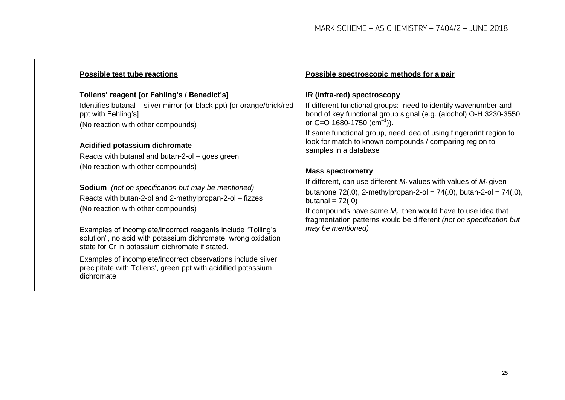#### **Possible test tube reactions**

#### **Tollens' reagent [or Fehling's / Benedict's]**

Identifies butanal – silver mirror (or black ppt) [or orange/brick/red ppt with Fehling's] (No reaction with other compounds)

#### **Acidified potassium dichromate**

Reacts with butanal and butan-2-ol – goes green (No reaction with other compounds)

**Sodium** *(not on specification but may be mentioned)* Reacts with butan-2-ol and 2-methylpropan-2-ol – fizzes (No reaction with other compounds)

Examples of incomplete/incorrect reagents include "Tolling's solution", no acid with potassium dichromate, wrong oxidation state for Cr in potassium dichromate if stated.

Examples of incomplete/incorrect observations include silver precipitate with Tollens', green ppt with acidified potassium dichromate

#### **Possible spectroscopic methods for a pair**

#### **IR (infra-red) spectroscopy**

If different functional groups: need to identify wavenumber and bond of key functional group signal (e.g. (alcohol) O-H 3230-3550 or C=O 1680-1750 (cm<sup>-1</sup>)).

If same functional group, need idea of using fingerprint region to look for match to known compounds / comparing region to samples in a database

#### **Mass spectrometry**

If different, can use different *M*<sup>r</sup> values with values of *M*<sup>r</sup> given butanone 72(.0), 2-methylpropan-2-ol = 74(.0), butan-2-ol = 74(.0), butanal  $= 72(.0)$ 

If compounds have same *M*<sup>r</sup> , then would have to use idea that fragmentation patterns would be different *(not on specification but may be mentioned)*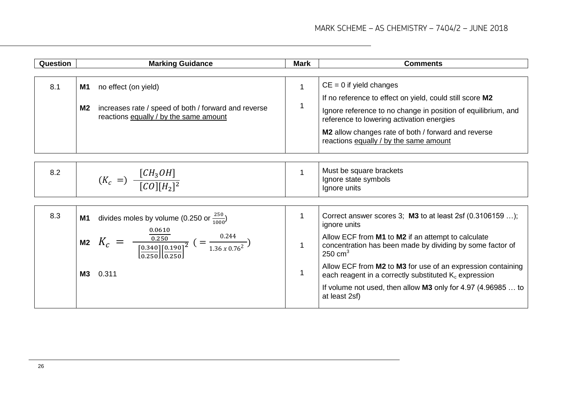| <b>Question</b> | <b>Marking Guidance</b>                                                                                                                             | <b>Mark</b>  | <b>Comments</b>                                                                                                              |
|-----------------|-----------------------------------------------------------------------------------------------------------------------------------------------------|--------------|------------------------------------------------------------------------------------------------------------------------------|
|                 |                                                                                                                                                     |              |                                                                                                                              |
| 8.1             | no effect (on yield)<br>M1                                                                                                                          | $\mathbf{1}$ | $CE = 0$ if yield changes                                                                                                    |
|                 |                                                                                                                                                     |              | If no reference to effect on yield, could still score M2                                                                     |
|                 | increases rate / speed of both / forward and reverse<br><b>M2</b><br>reactions equally / by the same amount                                         | 1            | Ignore reference to no change in position of equilibrium, and<br>reference to lowering activation energies                   |
|                 |                                                                                                                                                     |              | M2 allow changes rate of both / forward and reverse<br>reactions equally / by the same amount                                |
|                 |                                                                                                                                                     |              |                                                                                                                              |
| 8.2             |                                                                                                                                                     | $\mathbf 1$  | Must be square brackets                                                                                                      |
|                 | $(K_c =) \frac{[CH_3OH]}{[CO][H_2]^2}$                                                                                                              |              | Ignore state symbols<br>Ignore units                                                                                         |
|                 |                                                                                                                                                     |              |                                                                                                                              |
| 8.3             | divides moles by volume (0.250 or $\frac{250}{1000}$ )<br><b>M1</b>                                                                                 | $\mathbf{1}$ | Correct answer scores 3; $M3$ to at least 2sf (0.3106159 );<br>ignore units                                                  |
|                 | 0.0610<br>= $\frac{0.250}{\left[\frac{0.340}{0.250}\right] \left[\frac{0.190}{0.250}\right]^2}$ (= $\frac{0.244}{1.36 \times 0.76^2}$ )<br>M2 $K_c$ | $\mathbf{1}$ | Allow ECF from M1 to M2 if an attempt to calculate<br>concentration has been made by dividing by some factor of<br>250 $cm3$ |
|                 | <b>M3</b><br>0.311                                                                                                                                  | $\mathbf{1}$ | Allow ECF from M2 to M3 for use of an expression containing<br>each reagent in a correctly substituted $K_c$ expression      |
|                 |                                                                                                                                                     |              | If volume not used, then allow <b>M3</b> only for 4.97 (4.96985  to<br>at least 2sf)                                         |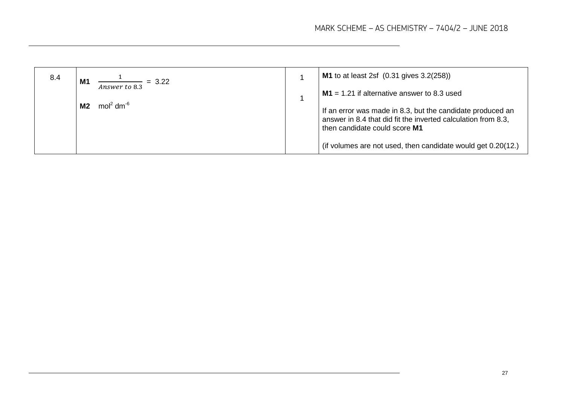| 8.4 | M <sub>1</sub><br>$= 3.22$              | $M1$ to at least 2sf $(0.31$ gives $3.2(258)$ )                                                                                                              |
|-----|-----------------------------------------|--------------------------------------------------------------------------------------------------------------------------------------------------------------|
|     | Answer to 8.3                           | $M1 = 1.21$ if alternative answer to 8.3 used                                                                                                                |
|     | mol <sup>2</sup> dm <sup>-6</sup><br>M2 | If an error was made in 8.3, but the candidate produced an<br>answer in 8.4 that did fit the inverted calculation from 8.3,<br>then candidate could score M1 |
|     |                                         | (if volumes are not used, then candidate would get 0.20(12.)                                                                                                 |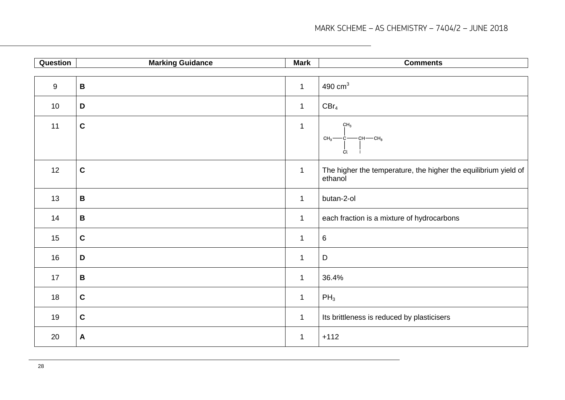| Question | <b>Marking Guidance</b> | <b>Mark</b>  | <b>Comments</b>                                                            |
|----------|-------------------------|--------------|----------------------------------------------------------------------------|
|          |                         |              |                                                                            |
| 9        | $\, {\bf B}$            | $\mathbf{1}$ | 490 $cm3$                                                                  |
| 10       | D                       | $\mathbf{1}$ | $CBr_4$                                                                    |
| 11       | $\mathbf C$             | $\mathbf{1}$ | CH <sub>3</sub><br>$CH_3 \rightarrow \c{c}$ $CH_3 \rightarrow CH_3$<br>Cl  |
| 12       | $\mathbf C$             | $\mathbf{1}$ | The higher the temperature, the higher the equilibrium yield of<br>ethanol |
| 13       | $\, {\bf B}$            | $\mathbf{1}$ | butan-2-ol                                                                 |
| 14       | $\, {\bf B}$            | $\mathbf{1}$ | each fraction is a mixture of hydrocarbons                                 |
| 15       | $\mathbf C$             | $\mathbf 1$  | $\,6\,$                                                                    |
| 16       | D                       | $\mathbf 1$  | $\mathsf D$                                                                |
| 17       | $\, {\bf B}$            | $\mathbf{1}$ | 36.4%                                                                      |
| 18       | $\mathbf c$             | $\mathbf{1}$ | $PH_3$                                                                     |
| 19       | $\mathbf c$             | $\mathbf{1}$ | Its brittleness is reduced by plasticisers                                 |
| 20       | $\boldsymbol{A}$        | $\mathbf 1$  | $+112$                                                                     |